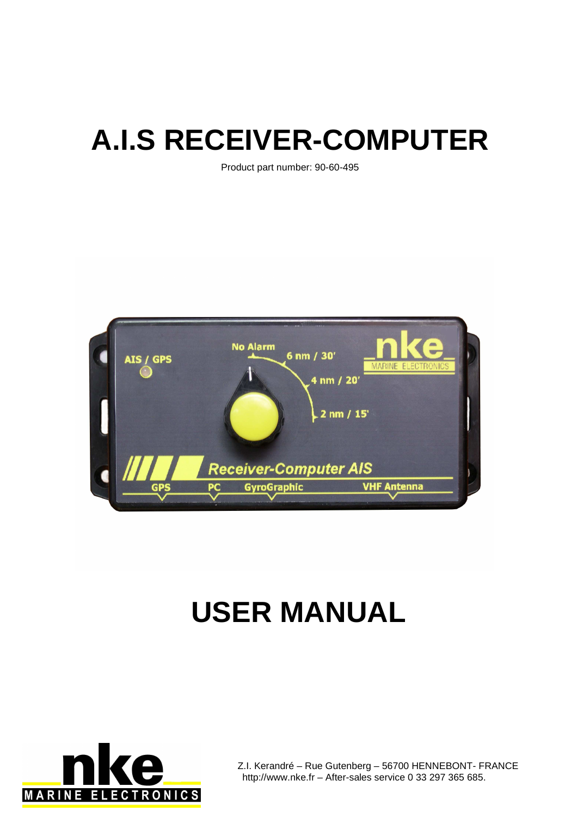# **A.I.S RECEIVER-COMPUTER**

Product part number: 90-60-495



# **USER MANUAL**



Z.I. Kerandré – Rue Gutenberg – 56700 HENNEBONT- FRANCE http://www.nke.fr – After-sales service 0 33 297 365 685.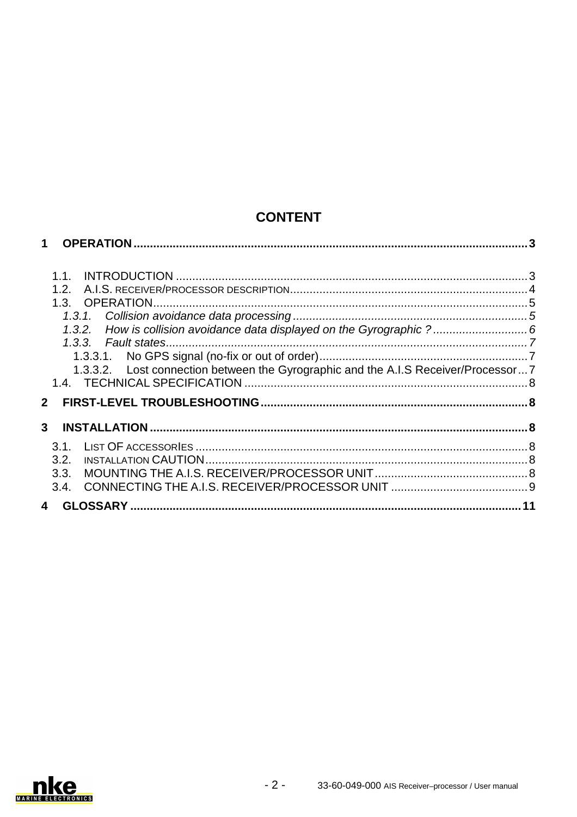# **CONTENT**

|                |      | 1.3.2. How is collision avoidance data displayed on the Gyrographic ? 6            |  |
|----------------|------|------------------------------------------------------------------------------------|--|
|                |      |                                                                                    |  |
|                |      |                                                                                    |  |
|                |      | 1.3.3.2. Lost connection between the Gyrographic and the A.I.S Receiver/Processor7 |  |
|                |      |                                                                                    |  |
|                |      |                                                                                    |  |
| 3 <sup>1</sup> |      |                                                                                    |  |
|                |      |                                                                                    |  |
|                | 3.2. |                                                                                    |  |
|                |      |                                                                                    |  |
|                |      |                                                                                    |  |
|                |      |                                                                                    |  |
|                |      |                                                                                    |  |

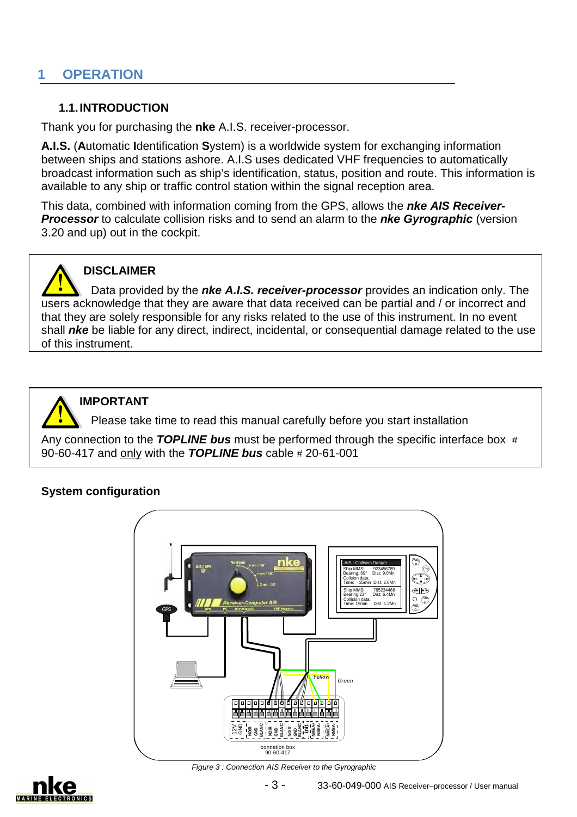# **1 OPERATION**

#### **1.1. INTRODUCTION**

Thank you for purchasing the **nke** A.I.S. receiver-processor.

**A.I.S.** (**A**utomatic **I**dentification **S**ystem) is a worldwide system for exchanging information between ships and stations ashore. A.I.S uses dedicated VHF frequencies to automatically broadcast information such as ship's identification, status, position and route. This information is available to any ship or traffic control station within the signal reception area.

This data, combined with information coming from the GPS, allows the **nke AIS Receiver-Processor** to calculate collision risks and to send an alarm to the **nke Gyrographic** (version 3.20 and up) out in the cockpit.



## **DISCLAIMER**

Data provided by the **nke A.I.S. receiver-processor** provides an indication only. The users acknowledge that they are aware that data received can be partial and / or incorrect and that they are solely responsible for any risks related to the use of this instrument. In no event shall **nke** be liable for any direct, indirect, incidental, or consequential damage related to the use of this instrument.



 $\overline{a}$ 

#### **IMPORTANT**

Please take time to read this manual carefully before you start installation

Any connection to the **TOPLINE bus** must be performed through the specific interface box # 90-60-417 and only with the **TOPLINE bus** cable # 20-61-001

### **System configuration**



**Figure 3: Connection AIS Receiver to the Gyrographic** 

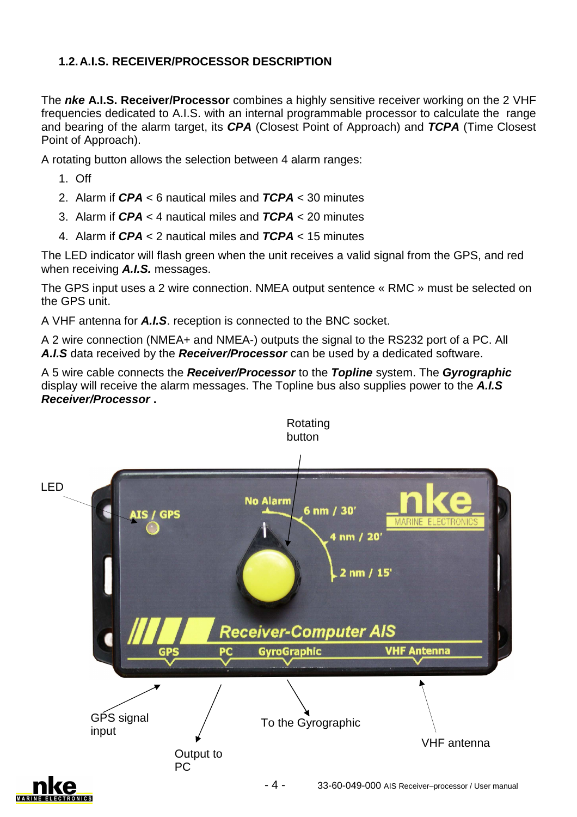# **1.2. A.I.S. RECEIVER/PROCESSOR DESCRIPTION**

The **nke A.I.S. Receiver/Processor** combines a highly sensitive receiver working on the 2 VHF frequencies dedicated to A.I.S. with an internal programmable processor to calculate the range and bearing of the alarm target, its **CPA** (Closest Point of Approach) and **TCPA** (Time Closest Point of Approach).

A rotating button allows the selection between 4 alarm ranges:

- 1. Off
- 2. Alarm if **CPA** < 6 nautical miles and **TCPA** < 30 minutes
- 3. Alarm if **CPA** < 4 nautical miles and **TCPA** < 20 minutes
- 4. Alarm if **CPA** < 2 nautical miles and **TCPA** < 15 minutes

The LED indicator will flash green when the unit receives a valid signal from the GPS, and red when receiving **A.I.S.** messages.

The GPS input uses a 2 wire connection. NMEA output sentence « RMC » must be selected on the GPS unit.

A VHF antenna for **A.I.S**. reception is connected to the BNC socket.

A 2 wire connection (NMEA+ and NMEA-) outputs the signal to the RS232 port of a PC. All **A.I.S** data received by the **Receiver/Processor** can be used by a dedicated software.

A 5 wire cable connects the **Receiver/Processor** to the **Topline** system. The **Gyrographic** display will receive the alarm messages. The Topline bus also supplies power to the **A.I.S Receiver/Processor .**

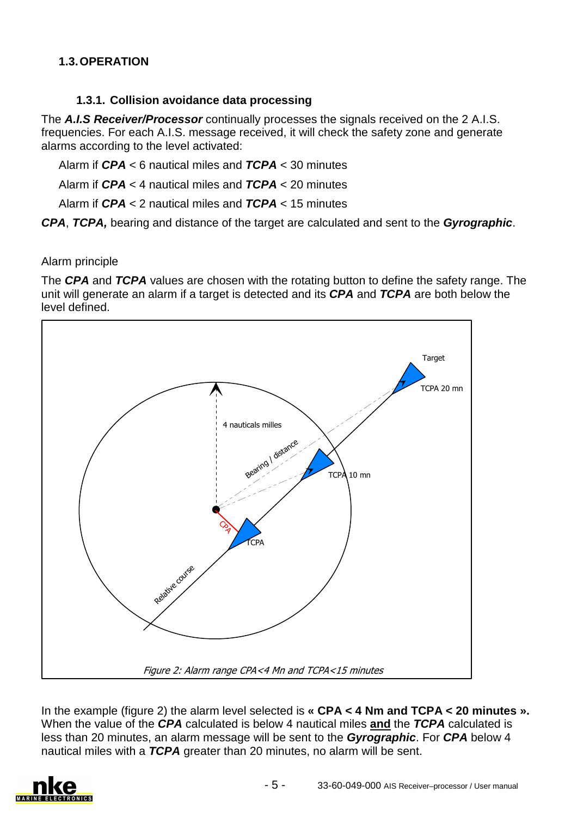# **1.3. OPERATION**

## **1.3.1. Collision avoidance data processing**

The **A.I.S Receiver/Processor** continually processes the signals received on the 2 A.I.S. frequencies. For each A.I.S. message received, it will check the safety zone and generate alarms according to the level activated:

Alarm if **CPA** < 6 nautical miles and **TCPA** < 30 minutes

Alarm if **CPA** < 4 nautical miles and **TCPA** < 20 minutes

Alarm if **CPA** < 2 nautical miles and **TCPA** < 15 minutes

**CPA**, **TCPA,** bearing and distance of the target are calculated and sent to the **Gyrographic**.

#### Alarm principle

The **CPA** and **TCPA** values are chosen with the rotating button to define the safety range. The unit will generate an alarm if a target is detected and its **CPA** and **TCPA** are both below the level defined.



In the example (figure 2) the alarm level selected is **« CPA < 4 Nm and TCPA < 20 minutes ».** When the value of the **CPA** calculated is below 4 nautical miles **and** the **TCPA** calculated is less than 20 minutes, an alarm message will be sent to the **Gyrographic**. For **CPA** below 4 nautical miles with a **TCPA** greater than 20 minutes, no alarm will be sent.

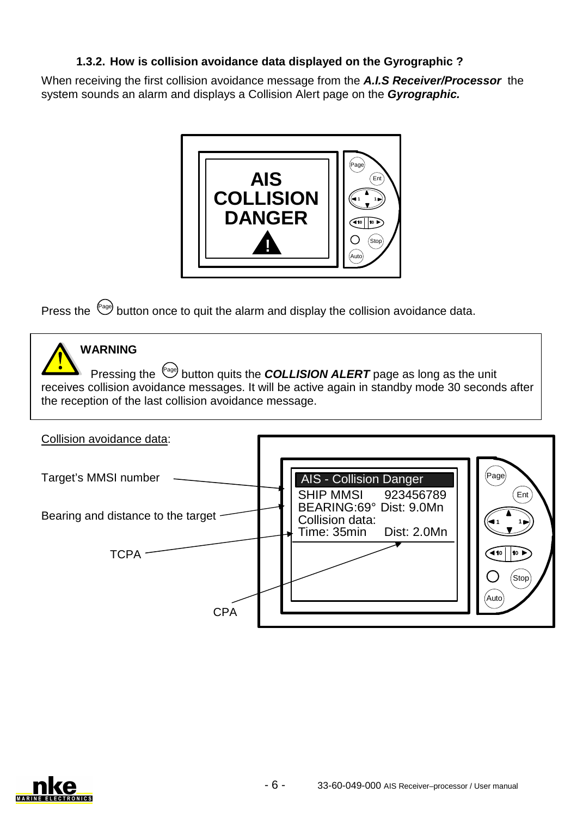## **1.3.2. How is collision avoidance data displayed on the Gyrographic ?**

When receiving the first collision avoidance message from the **A.I.S Receiver/Processor** the system sounds an alarm and displays a Collision Alert page on the **Gyrographic.**



Press the  $P_{\text{e}}$  button once to quit the alarm and display the collision avoidance data.



# **WARNING**

Pressing the <sup>(Page</sup>) button quits the **COLLISION ALERT** page as long as the unit receives collision avoidance messages. It will be active again in standby mode 30 seconds after the reception of the last collision avoidance message.



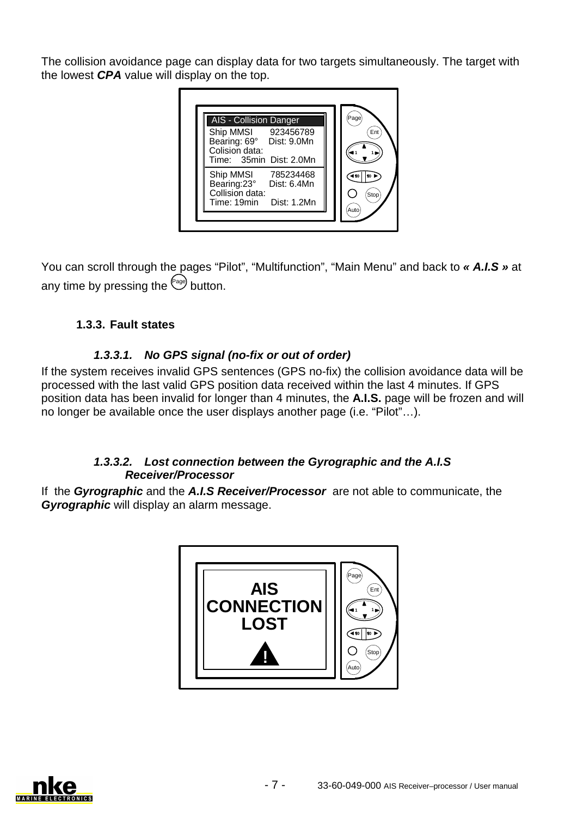The collision avoidance page can display data for two targets simultaneously. The target with the lowest **CPA** value will display on the top.



You can scroll through the pages "Pilot", "Multifunction", "Main Menu" and back to **« A.I.S »** at any time by pressing the  $P_{\text{avg}}$  button.

# **1.3.3. Fault states**

## **1.3.3.1. No GPS signal (no-fix or out of order)**

If the system receives invalid GPS sentences (GPS no-fix) the collision avoidance data will be processed with the last valid GPS position data received within the last 4 minutes. If GPS position data has been invalid for longer than 4 minutes, the **A.I.S.** page will be frozen and will no longer be available once the user displays another page (i.e. "Pilot"…).

### **1.3.3.2. Lost connection between the Gyrographic and the A.I.S Receiver/Processor**

If the **Gyrographic** and the **A.I.S Receiver/Processor** are not able to communicate, the **Gyrographic** will display an alarm message.



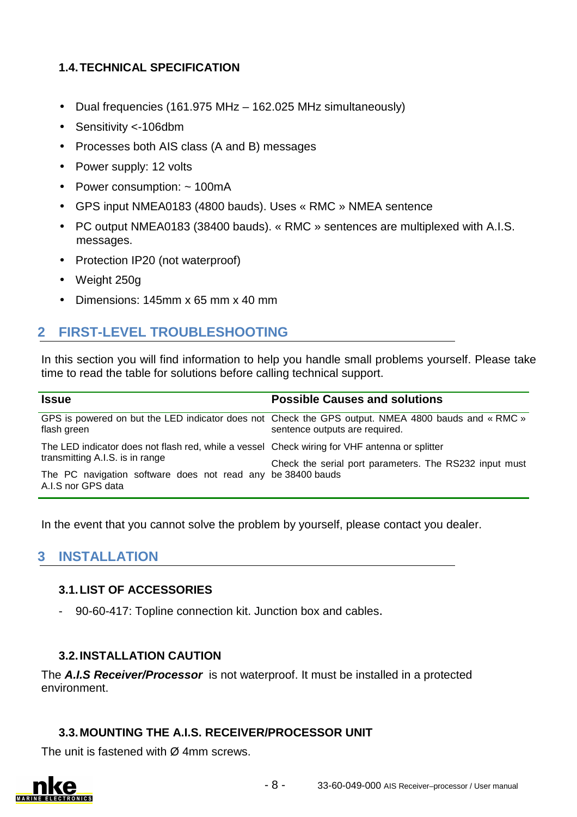## **1.4. TECHNICAL SPECIFICATION**

- Dual frequencies (161.975 MHz 162.025 MHz simultaneously)
- Sensitivity <-106dbm
- Processes both AIS class (A and B) messages
- Power supply: 12 volts
- Power consumption: ~ 100mA
- GPS input NMEA0183 (4800 bauds). Uses « RMC » NMEA sentence
- PC output NMEA0183 (38400 bauds). « RMC » sentences are multiplexed with A.I.S. messages.
- Protection IP20 (not waterproof)
- Weight 250g
- Dimensions: 145mm x 65 mm x 40 mm

# **2 FIRST-LEVEL TROUBLESHOOTING**

In this section you will find information to help you handle small problems yourself. Please take time to read the table for solutions before calling technical support.

| <b>Issue</b>                                                                                                         | <b>Possible Causes and solutions</b>                                                                                                 |
|----------------------------------------------------------------------------------------------------------------------|--------------------------------------------------------------------------------------------------------------------------------------|
| flash green                                                                                                          | GPS is powered on but the LED indicator does not Check the GPS output. NMEA 4800 bauds and « RMC »<br>sentence outputs are required. |
| The LED indicator does not flash red, while a vessel Check wiring for VHF antenna or splitter                        |                                                                                                                                      |
| transmitting A.I.S. is in range<br>The PC navigation software does not read any be 38400 bauds<br>A.I.S nor GPS data | Check the serial port parameters. The RS232 input must                                                                               |

In the event that you cannot solve the problem by yourself, please contact you dealer.

# **3 INSTALLATION**

#### **3.1. LIST OF ACCESSORIES**

90-60-417: Topline connection kit. Junction box and cables.

#### **3.2. INSTALLATION CAUTION**

The **A.I.S Receiver/Processor** is not waterproof. It must be installed in a protected environment.

#### **3.3. MOUNTING THE A.I.S. RECEIVER/PROCESSOR UNIT**

The unit is fastened with Ø 4mm screws.

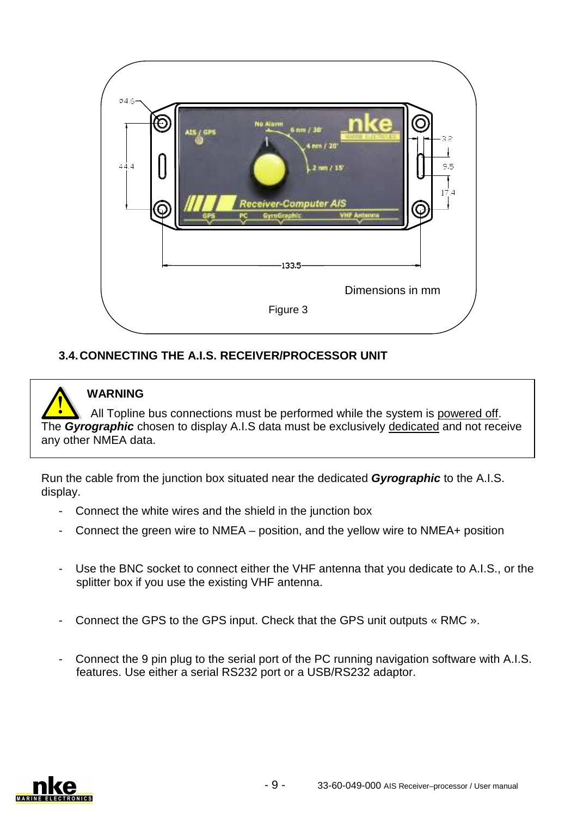

# **3.4. CONNECTING THE A.I.S. RECEIVER/PROCESSOR UNIT**

# **WARNING**

All Topline bus connections must be performed while the system is powered off. The **Gyrographic** chosen to display A.I.S data must be exclusively dedicated and not receive any other NMEA data.

Run the cable from the junction box situated near the dedicated **Gyrographic** to the A.I.S. display.

- Connect the white wires and the shield in the junction box
- Connect the green wire to NMEA position, and the yellow wire to NMEA+ position
- Use the BNC socket to connect either the VHF antenna that you dedicate to A.I.S., or the splitter box if you use the existing VHF antenna.
- Connect the GPS to the GPS input. Check that the GPS unit outputs « RMC ».
- Connect the 9 pin plug to the serial port of the PC running navigation software with A.I.S. features. Use either a serial RS232 port or a USB/RS232 adaptor.

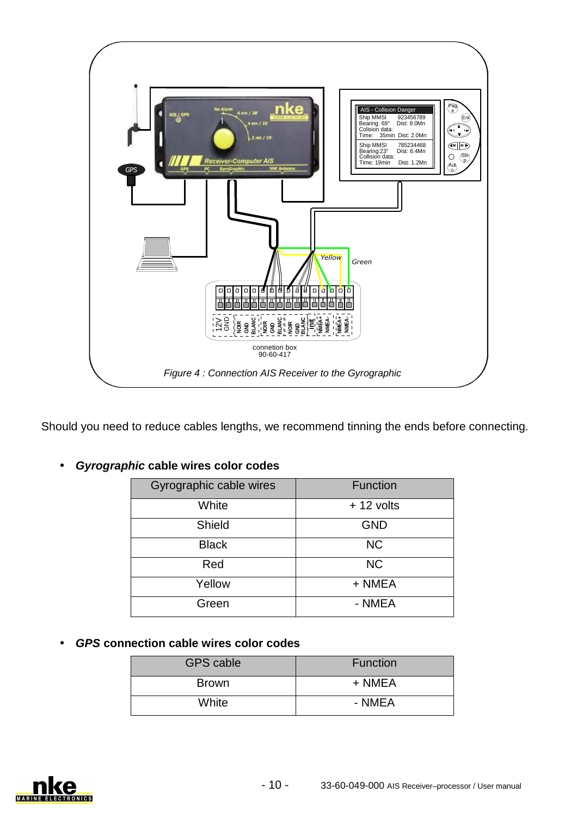

Should you need to reduce cables lengths, we recommend tinning the ends before connecting.

|                                 | connetion box<br>90-60-417                                     |             |  |  |  |  |  |
|---------------------------------|----------------------------------------------------------------|-------------|--|--|--|--|--|
|                                 | Figure 4: Connection AIS Receiver to the Gyrographic           |             |  |  |  |  |  |
|                                 |                                                                |             |  |  |  |  |  |
|                                 | d to reduce cables lengths, we recommend tinning the ends befc |             |  |  |  |  |  |
|                                 |                                                                |             |  |  |  |  |  |
|                                 | phic cable wires color codes                                   |             |  |  |  |  |  |
|                                 | Gyrographic cable wires                                        | Function    |  |  |  |  |  |
|                                 | White                                                          | $+12$ volts |  |  |  |  |  |
|                                 | Shield                                                         | <b>GND</b>  |  |  |  |  |  |
|                                 | <b>Black</b>                                                   | <b>NC</b>   |  |  |  |  |  |
|                                 | Red                                                            | <b>NC</b>   |  |  |  |  |  |
|                                 | Yellow                                                         | + NMEA      |  |  |  |  |  |
|                                 | Green                                                          | - NMEA      |  |  |  |  |  |
|                                 |                                                                |             |  |  |  |  |  |
| nection cable wires color codes |                                                                |             |  |  |  |  |  |
|                                 | <b>GPS cable</b>                                               | Function    |  |  |  |  |  |
|                                 | <b>Brown</b>                                                   | + NMEA      |  |  |  |  |  |
|                                 | White                                                          | - NMEA      |  |  |  |  |  |

• **Gyrographic cable wires color codes**

• **GPS connection cable wires color codes**

| <b>GPS cable</b> | <b>Function</b> |
|------------------|-----------------|
| <b>Brown</b>     | + NMEA          |
| White            | - NMEA          |